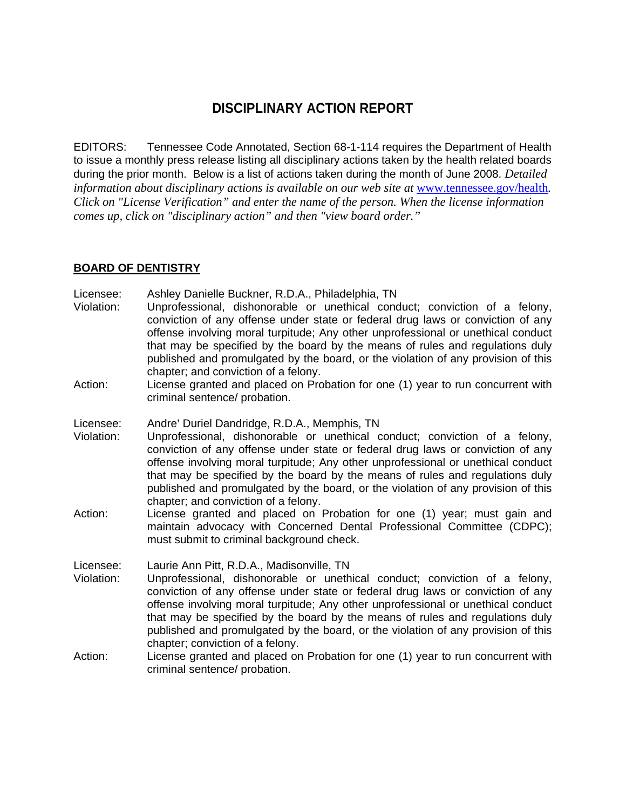# **DISCIPLINARY ACTION REPORT**

EDITORS: Tennessee Code Annotated, Section 68-1-114 requires the Department of Health to issue a monthly press release listing all disciplinary actions taken by the health related boards during the prior month. Below is a list of actions taken during the month of June 2008. *Detailed information about disciplinary actions is available on our web site at www.tennessee.gov/health. Click on "License Verification" and enter the name of the person. When the license information comes up, click on "disciplinary action" and then "view board order."* 

#### **BOARD OF DENTISTRY**

Licensee: Ashley Danielle Buckner, R.D.A., Philadelphia, TN

- Violation: Unprofessional, dishonorable or unethical conduct; conviction of a felony, conviction of any offense under state or federal drug laws or conviction of any offense involving moral turpitude; Any other unprofessional or unethical conduct that may be specified by the board by the means of rules and regulations duly published and promulgated by the board, or the violation of any provision of this chapter; and conviction of a felony.
- Action: License granted and placed on Probation for one (1) year to run concurrent with criminal sentence/ probation.

Licensee: Andre' Duriel Dandridge, R.D.A., Memphis, TN

- Violation: Unprofessional, dishonorable or unethical conduct; conviction of a felony, conviction of any offense under state or federal drug laws or conviction of any offense involving moral turpitude; Any other unprofessional or unethical conduct that may be specified by the board by the means of rules and regulations duly published and promulgated by the board, or the violation of any provision of this chapter; and conviction of a felony.
- Action: License granted and placed on Probation for one (1) year; must gain and maintain advocacy with Concerned Dental Professional Committee (CDPC); must submit to criminal background check.

Licensee: Laurie Ann Pitt, R.D.A., Madisonville, TN

- Violation: Unprofessional, dishonorable or unethical conduct; conviction of a felony, conviction of any offense under state or federal drug laws or conviction of any offense involving moral turpitude; Any other unprofessional or unethical conduct that may be specified by the board by the means of rules and regulations duly published and promulgated by the board, or the violation of any provision of this chapter; conviction of a felony.
- Action: License granted and placed on Probation for one (1) year to run concurrent with criminal sentence/ probation.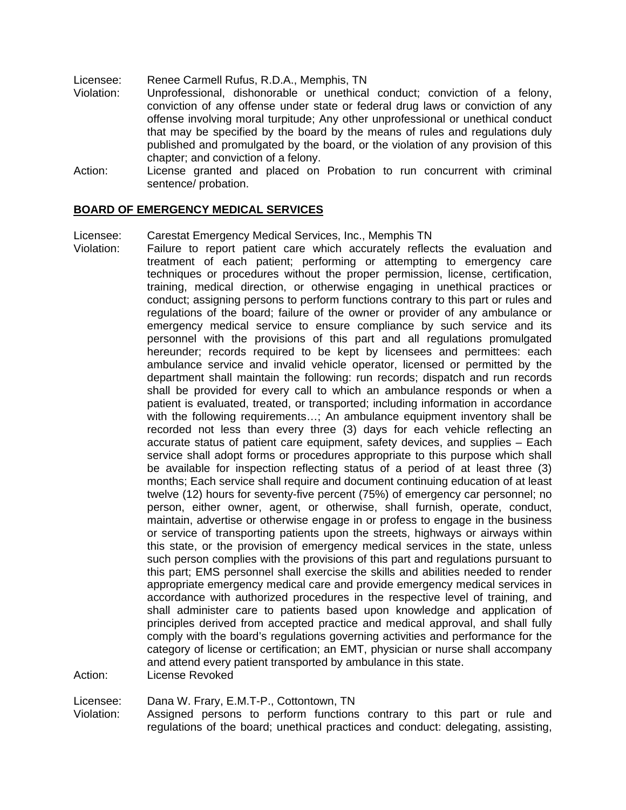Licensee: Renee Carmell Rufus, R.D.A., Memphis, TN

- Violation: Unprofessional, dishonorable or unethical conduct; conviction of a felony, conviction of any offense under state or federal drug laws or conviction of any offense involving moral turpitude; Any other unprofessional or unethical conduct that may be specified by the board by the means of rules and regulations duly published and promulgated by the board, or the violation of any provision of this chapter; and conviction of a felony.
- Action: License granted and placed on Probation to run concurrent with criminal sentence/ probation.

#### **BOARD OF EMERGENCY MEDICAL SERVICES**

Licensee: Carestat Emergency Medical Services, Inc., Memphis TN

Violation: Failure to report patient care which accurately reflects the evaluation and treatment of each patient; performing or attempting to emergency care techniques or procedures without the proper permission, license, certification, training, medical direction, or otherwise engaging in unethical practices or conduct; assigning persons to perform functions contrary to this part or rules and regulations of the board; failure of the owner or provider of any ambulance or emergency medical service to ensure compliance by such service and its personnel with the provisions of this part and all regulations promulgated hereunder; records required to be kept by licensees and permittees: each ambulance service and invalid vehicle operator, licensed or permitted by the department shall maintain the following: run records; dispatch and run records shall be provided for every call to which an ambulance responds or when a patient is evaluated, treated, or transported; including information in accordance with the following requirements…; An ambulance equipment inventory shall be recorded not less than every three (3) days for each vehicle reflecting an accurate status of patient care equipment, safety devices, and supplies – Each service shall adopt forms or procedures appropriate to this purpose which shall be available for inspection reflecting status of a period of at least three (3) months; Each service shall require and document continuing education of at least twelve (12) hours for seventy-five percent (75%) of emergency car personnel; no person, either owner, agent, or otherwise, shall furnish, operate, conduct, maintain, advertise or otherwise engage in or profess to engage in the business or service of transporting patients upon the streets, highways or airways within this state, or the provision of emergency medical services in the state, unless such person complies with the provisions of this part and regulations pursuant to this part; EMS personnel shall exercise the skills and abilities needed to render appropriate emergency medical care and provide emergency medical services in accordance with authorized procedures in the respective level of training, and shall administer care to patients based upon knowledge and application of principles derived from accepted practice and medical approval, and shall fully comply with the board's regulations governing activities and performance for the category of license or certification; an EMT, physician or nurse shall accompany and attend every patient transported by ambulance in this state. Action: License Revoked

Licensee: Dana W. Frary, E.M.T-P., Cottontown, TN

Violation: Assigned persons to perform functions contrary to this part or rule and regulations of the board; unethical practices and conduct: delegating, assisting,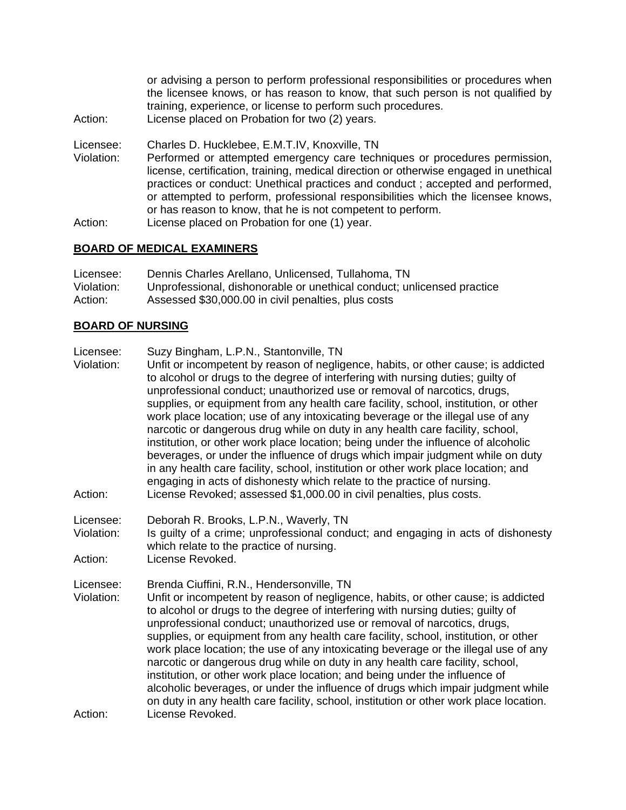or advising a person to perform professional responsibilities or procedures when the licensee knows, or has reason to know, that such person is not qualified by training, experience, or license to perform such procedures.

Action: License placed on Probation for two (2) years.

Licensee: Charles D. Hucklebee, E.M.T.IV, Knoxville, TN

Violation: Performed or attempted emergency care techniques or procedures permission, license, certification, training, medical direction or otherwise engaged in unethical practices or conduct: Unethical practices and conduct ; accepted and performed, or attempted to perform, professional responsibilities which the licensee knows, or has reason to know, that he is not competent to perform.

Action: License placed on Probation for one (1) year.

# **BOARD OF MEDICAL EXAMINERS**

| Licensee:  | Dennis Charles Arellano, Unlicensed, Tullahoma, TN                     |
|------------|------------------------------------------------------------------------|
| Violation: | Unprofessional, dishonorable or unethical conduct; unlicensed practice |
| Action:    | Assessed \$30,000.00 in civil penalties, plus costs                    |

# **BOARD OF NURSING**

- Licensee: Suzy Bingham, L.P.N., Stantonville, TN
- Violation: Unfit or incompetent by reason of negligence, habits, or other cause; is addicted to alcohol or drugs to the degree of interfering with nursing duties; guilty of unprofessional conduct; unauthorized use or removal of narcotics, drugs, supplies, or equipment from any health care facility, school, institution, or other work place location; use of any intoxicating beverage or the illegal use of any narcotic or dangerous drug while on duty in any health care facility, school, institution, or other work place location; being under the influence of alcoholic beverages, or under the influence of drugs which impair judgment while on duty in any health care facility, school, institution or other work place location; and engaging in acts of dishonesty which relate to the practice of nursing. Action: License Revoked; assessed \$1,000.00 in civil penalties, plus costs.

Licensee: Deborah R. Brooks, L.P.N., Waverly, TN

Violation: Is guilty of a crime; unprofessional conduct; and engaging in acts of dishonesty which relate to the practice of nursing.

Action: License Revoked.

Licensee: Brenda Ciuffini, R.N., Hendersonville, TN

Violation: Unfit or incompetent by reason of negligence, habits, or other cause; is addicted to alcohol or drugs to the degree of interfering with nursing duties; guilty of unprofessional conduct; unauthorized use or removal of narcotics, drugs, supplies, or equipment from any health care facility, school, institution, or other work place location; the use of any intoxicating beverage or the illegal use of any narcotic or dangerous drug while on duty in any health care facility, school, institution, or other work place location; and being under the influence of alcoholic beverages, or under the influence of drugs which impair judgment while on duty in any health care facility, school, institution or other work place location. Action: License Revoked.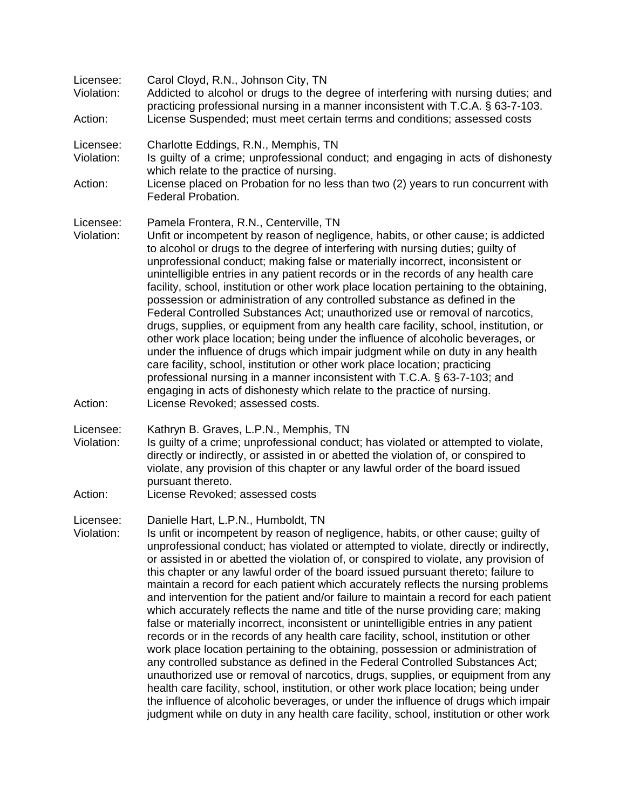| Licensee:<br>Violation:<br>Action: | Carol Cloyd, R.N., Johnson City, TN<br>Addicted to alcohol or drugs to the degree of interfering with nursing duties; and<br>practicing professional nursing in a manner inconsistent with T.C.A. § 63-7-103.<br>License Suspended; must meet certain terms and conditions; assessed costs                                                                                                                                                                                                                                                                                                                                                                                                                                                                                                                                                                                                                                                                                                                                                                                                                                                                                                                                                                                                                                                                                        |
|------------------------------------|-----------------------------------------------------------------------------------------------------------------------------------------------------------------------------------------------------------------------------------------------------------------------------------------------------------------------------------------------------------------------------------------------------------------------------------------------------------------------------------------------------------------------------------------------------------------------------------------------------------------------------------------------------------------------------------------------------------------------------------------------------------------------------------------------------------------------------------------------------------------------------------------------------------------------------------------------------------------------------------------------------------------------------------------------------------------------------------------------------------------------------------------------------------------------------------------------------------------------------------------------------------------------------------------------------------------------------------------------------------------------------------|
| Licensee:<br>Violation:<br>Action: | Charlotte Eddings, R.N., Memphis, TN<br>Is quilty of a crime; unprofessional conduct; and engaging in acts of dishonesty<br>which relate to the practice of nursing.<br>License placed on Probation for no less than two (2) years to run concurrent with<br>Federal Probation.                                                                                                                                                                                                                                                                                                                                                                                                                                                                                                                                                                                                                                                                                                                                                                                                                                                                                                                                                                                                                                                                                                   |
| Licensee:<br>Violation:            | Pamela Frontera, R.N., Centerville, TN<br>Unfit or incompetent by reason of negligence, habits, or other cause; is addicted<br>to alcohol or drugs to the degree of interfering with nursing duties; guilty of<br>unprofessional conduct; making false or materially incorrect, inconsistent or<br>unintelligible entries in any patient records or in the records of any health care<br>facility, school, institution or other work place location pertaining to the obtaining,<br>possession or administration of any controlled substance as defined in the<br>Federal Controlled Substances Act; unauthorized use or removal of narcotics,<br>drugs, supplies, or equipment from any health care facility, school, institution, or<br>other work place location; being under the influence of alcoholic beverages, or<br>under the influence of drugs which impair judgment while on duty in any health<br>care facility, school, institution or other work place location; practicing<br>professional nursing in a manner inconsistent with T.C.A. § 63-7-103; and<br>engaging in acts of dishonesty which relate to the practice of nursing.                                                                                                                                                                                                                                |
| Action:                            | License Revoked; assessed costs.                                                                                                                                                                                                                                                                                                                                                                                                                                                                                                                                                                                                                                                                                                                                                                                                                                                                                                                                                                                                                                                                                                                                                                                                                                                                                                                                                  |
| Licensee:<br>Violation:            | Kathryn B. Graves, L.P.N., Memphis, TN<br>Is guilty of a crime; unprofessional conduct; has violated or attempted to violate,<br>directly or indirectly, or assisted in or abetted the violation of, or conspired to<br>violate, any provision of this chapter or any lawful order of the board issued<br>pursuant thereto.                                                                                                                                                                                                                                                                                                                                                                                                                                                                                                                                                                                                                                                                                                                                                                                                                                                                                                                                                                                                                                                       |
| Action:                            | License Revoked; assessed costs                                                                                                                                                                                                                                                                                                                                                                                                                                                                                                                                                                                                                                                                                                                                                                                                                                                                                                                                                                                                                                                                                                                                                                                                                                                                                                                                                   |
| Licensee:<br>Violation:            | Danielle Hart, L.P.N., Humboldt, TN<br>Is unfit or incompetent by reason of negligence, habits, or other cause; guilty of<br>unprofessional conduct; has violated or attempted to violate, directly or indirectly,<br>or assisted in or abetted the violation of, or conspired to violate, any provision of<br>this chapter or any lawful order of the board issued pursuant thereto; failure to<br>maintain a record for each patient which accurately reflects the nursing problems<br>and intervention for the patient and/or failure to maintain a record for each patient<br>which accurately reflects the name and title of the nurse providing care; making<br>false or materially incorrect, inconsistent or unintelligible entries in any patient<br>records or in the records of any health care facility, school, institution or other<br>work place location pertaining to the obtaining, possession or administration of<br>any controlled substance as defined in the Federal Controlled Substances Act;<br>unauthorized use or removal of narcotics, drugs, supplies, or equipment from any<br>health care facility, school, institution, or other work place location; being under<br>the influence of alcoholic beverages, or under the influence of drugs which impair<br>judgment while on duty in any health care facility, school, institution or other work |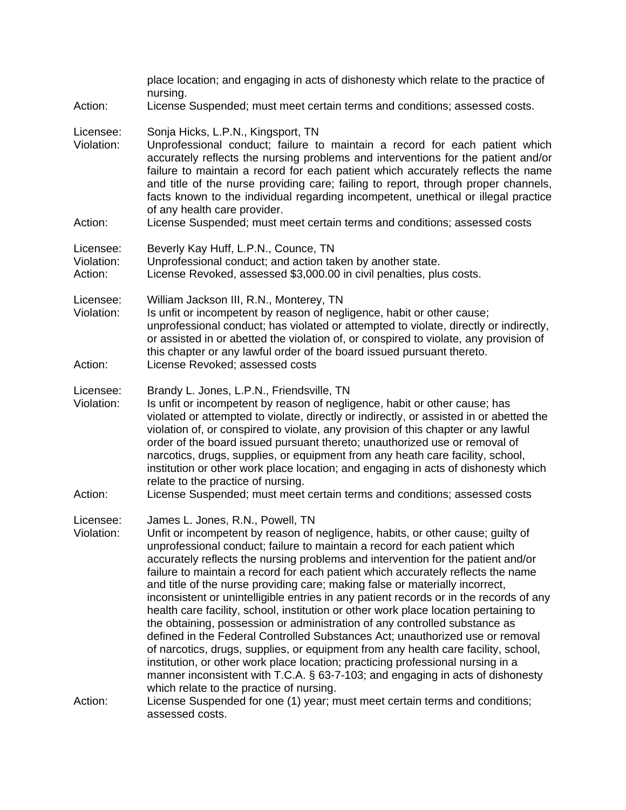| Action:                            | place location; and engaging in acts of dishonesty which relate to the practice of<br>nursing.<br>License Suspended; must meet certain terms and conditions; assessed costs.                                                                                                                                                                                                                                                                                                                                                                                                                                                                                                                                                                                                                                                                                                                                                                                                                                                                                                                                       |
|------------------------------------|--------------------------------------------------------------------------------------------------------------------------------------------------------------------------------------------------------------------------------------------------------------------------------------------------------------------------------------------------------------------------------------------------------------------------------------------------------------------------------------------------------------------------------------------------------------------------------------------------------------------------------------------------------------------------------------------------------------------------------------------------------------------------------------------------------------------------------------------------------------------------------------------------------------------------------------------------------------------------------------------------------------------------------------------------------------------------------------------------------------------|
| Licensee:<br>Violation:<br>Action: | Sonja Hicks, L.P.N., Kingsport, TN<br>Unprofessional conduct; failure to maintain a record for each patient which<br>accurately reflects the nursing problems and interventions for the patient and/or<br>failure to maintain a record for each patient which accurately reflects the name<br>and title of the nurse providing care; failing to report, through proper channels,<br>facts known to the individual regarding incompetent, unethical or illegal practice<br>of any health care provider.<br>License Suspended; must meet certain terms and conditions; assessed costs                                                                                                                                                                                                                                                                                                                                                                                                                                                                                                                                |
| Licensee:<br>Violation:<br>Action: | Beverly Kay Huff, L.P.N., Counce, TN<br>Unprofessional conduct; and action taken by another state.<br>License Revoked, assessed \$3,000.00 in civil penalties, plus costs.                                                                                                                                                                                                                                                                                                                                                                                                                                                                                                                                                                                                                                                                                                                                                                                                                                                                                                                                         |
| Licensee:<br>Violation:<br>Action: | William Jackson III, R.N., Monterey, TN<br>Is unfit or incompetent by reason of negligence, habit or other cause;<br>unprofessional conduct; has violated or attempted to violate, directly or indirectly,<br>or assisted in or abetted the violation of, or conspired to violate, any provision of<br>this chapter or any lawful order of the board issued pursuant thereto.<br>License Revoked; assessed costs                                                                                                                                                                                                                                                                                                                                                                                                                                                                                                                                                                                                                                                                                                   |
| Licensee:<br>Violation:<br>Action: | Brandy L. Jones, L.P.N., Friendsville, TN<br>Is unfit or incompetent by reason of negligence, habit or other cause; has<br>violated or attempted to violate, directly or indirectly, or assisted in or abetted the<br>violation of, or conspired to violate, any provision of this chapter or any lawful<br>order of the board issued pursuant thereto; unauthorized use or removal of<br>narcotics, drugs, supplies, or equipment from any heath care facility, school,<br>institution or other work place location; and engaging in acts of dishonesty which<br>relate to the practice of nursing.<br>License Suspended; must meet certain terms and conditions; assessed costs                                                                                                                                                                                                                                                                                                                                                                                                                                  |
| Licensee:<br>Violation:            | James L. Jones, R.N., Powell, TN<br>Unfit or incompetent by reason of negligence, habits, or other cause; guilty of<br>unprofessional conduct; failure to maintain a record for each patient which<br>accurately reflects the nursing problems and intervention for the patient and/or<br>failure to maintain a record for each patient which accurately reflects the name<br>and title of the nurse providing care; making false or materially incorrect,<br>inconsistent or unintelligible entries in any patient records or in the records of any<br>health care facility, school, institution or other work place location pertaining to<br>the obtaining, possession or administration of any controlled substance as<br>defined in the Federal Controlled Substances Act; unauthorized use or removal<br>of narcotics, drugs, supplies, or equipment from any health care facility, school,<br>institution, or other work place location; practicing professional nursing in a<br>manner inconsistent with T.C.A. § 63-7-103; and engaging in acts of dishonesty<br>which relate to the practice of nursing. |
| Action:                            | License Suspended for one (1) year; must meet certain terms and conditions;<br>assessed costs.                                                                                                                                                                                                                                                                                                                                                                                                                                                                                                                                                                                                                                                                                                                                                                                                                                                                                                                                                                                                                     |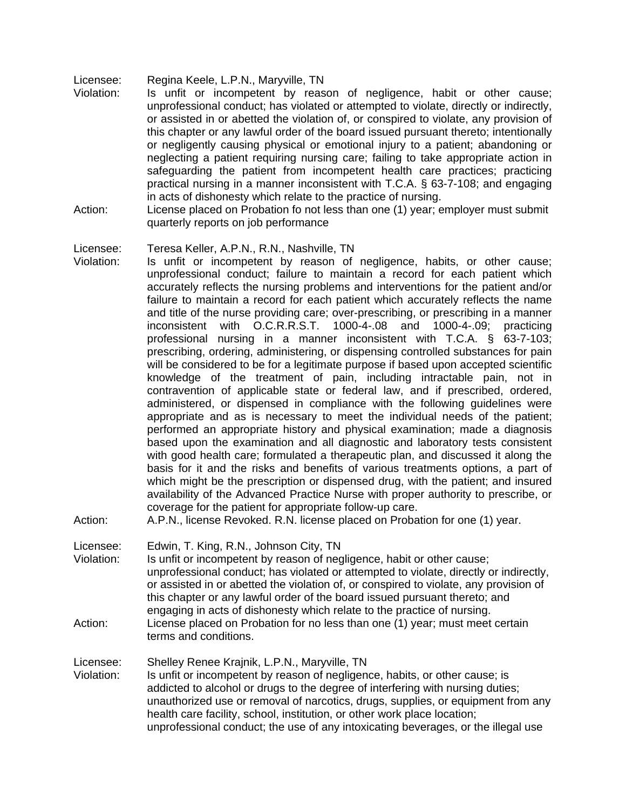Licensee: Regina Keele, L.P.N., Maryville, TN

- Violation: Is unfit or incompetent by reason of negligence, habit or other cause; unprofessional conduct; has violated or attempted to violate, directly or indirectly, or assisted in or abetted the violation of, or conspired to violate, any provision of this chapter or any lawful order of the board issued pursuant thereto; intentionally or negligently causing physical or emotional injury to a patient; abandoning or neglecting a patient requiring nursing care; failing to take appropriate action in safeguarding the patient from incompetent health care practices; practicing practical nursing in a manner inconsistent with T.C.A. § 63-7-108; and engaging in acts of dishonesty which relate to the practice of nursing.
- Action: License placed on Probation fo not less than one (1) year; employer must submit quarterly reports on job performance

#### Licensee: Teresa Keller, A.P.N., R.N., Nashville, TN

Violation: Is unfit or incompetent by reason of negligence, habits, or other cause; unprofessional conduct; failure to maintain a record for each patient which accurately reflects the nursing problems and interventions for the patient and/or failure to maintain a record for each patient which accurately reflects the name and title of the nurse providing care; over-prescribing, or prescribing in a manner inconsistent with O.C.R.R.S.T. 1000-4-.08 and 1000-4-.09; practicing professional nursing in a manner inconsistent with T.C.A. § 63-7-103; prescribing, ordering, administering, or dispensing controlled substances for pain will be considered to be for a legitimate purpose if based upon accepted scientific knowledge of the treatment of pain, including intractable pain, not in contravention of applicable state or federal law, and if prescribed, ordered, administered, or dispensed in compliance with the following guidelines were appropriate and as is necessary to meet the individual needs of the patient; performed an appropriate history and physical examination; made a diagnosis based upon the examination and all diagnostic and laboratory tests consistent with good health care; formulated a therapeutic plan, and discussed it along the basis for it and the risks and benefits of various treatments options, a part of which might be the prescription or dispensed drug, with the patient; and insured availability of the Advanced Practice Nurse with proper authority to prescribe, or coverage for the patient for appropriate follow-up care.

Action: A.P.N., license Revoked. R.N. license placed on Probation for one (1) year.

Licensee: Edwin, T. King, R.N., Johnson City, TN

terms and conditions.

Violation: Is unfit or incompetent by reason of negligence, habit or other cause; unprofessional conduct; has violated or attempted to violate, directly or indirectly, or assisted in or abetted the violation of, or conspired to violate, any provision of this chapter or any lawful order of the board issued pursuant thereto; and engaging in acts of dishonesty which relate to the practice of nursing. Action: License placed on Probation for no less than one (1) year; must meet certain

Licensee: Shelley Renee Krajnik, L.P.N., Maryville, TN

Violation: Is unfit or incompetent by reason of negligence, habits, or other cause; is addicted to alcohol or drugs to the degree of interfering with nursing duties; unauthorized use or removal of narcotics, drugs, supplies, or equipment from any health care facility, school, institution, or other work place location; unprofessional conduct; the use of any intoxicating beverages, or the illegal use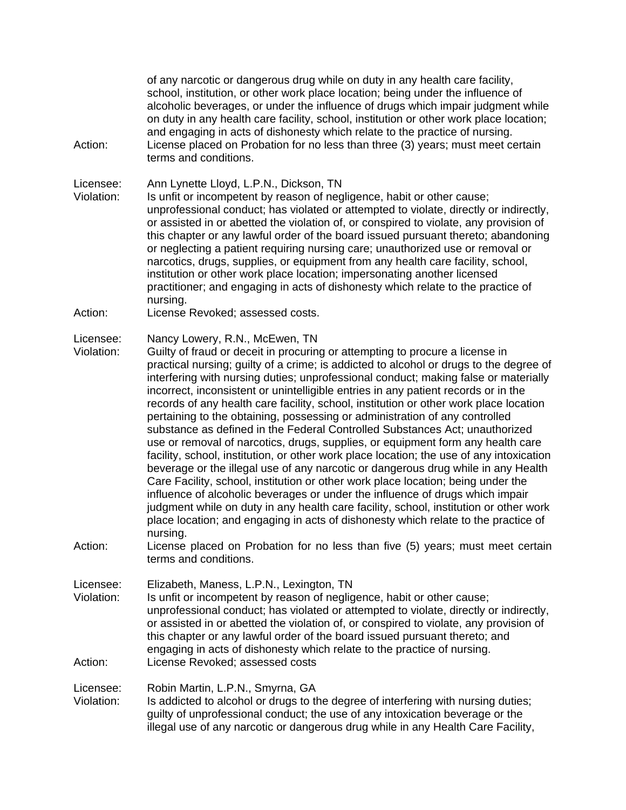of any narcotic or dangerous drug while on duty in any health care facility, school, institution, or other work place location; being under the influence of alcoholic beverages, or under the influence of drugs which impair judgment while on duty in any health care facility, school, institution or other work place location; and engaging in acts of dishonesty which relate to the practice of nursing. Action: License placed on Probation for no less than three (3) years; must meet certain terms and conditions.

Licensee: Ann Lynette Lloyd, L.P.N., Dickson, TN

- Violation: Is unfit or incompetent by reason of negligence, habit or other cause; unprofessional conduct; has violated or attempted to violate, directly or indirectly, or assisted in or abetted the violation of, or conspired to violate, any provision of this chapter or any lawful order of the board issued pursuant thereto; abandoning or neglecting a patient requiring nursing care; unauthorized use or removal or narcotics, drugs, supplies, or equipment from any health care facility, school, institution or other work place location; impersonating another licensed practitioner; and engaging in acts of dishonesty which relate to the practice of nursing.
- Action: License Revoked; assessed costs.

#### Licensee: Nancy Lowery, R.N., McEwen, TN

- Violation: Guilty of fraud or deceit in procuring or attempting to procure a license in practical nursing; guilty of a crime; is addicted to alcohol or drugs to the degree of interfering with nursing duties; unprofessional conduct; making false or materially incorrect, inconsistent or unintelligible entries in any patient records or in the records of any health care facility, school, institution or other work place location pertaining to the obtaining, possessing or administration of any controlled substance as defined in the Federal Controlled Substances Act; unauthorized use or removal of narcotics, drugs, supplies, or equipment form any health care facility, school, institution, or other work place location; the use of any intoxication beverage or the illegal use of any narcotic or dangerous drug while in any Health Care Facility, school, institution or other work place location; being under the influence of alcoholic beverages or under the influence of drugs which impair judgment while on duty in any health care facility, school, institution or other work place location; and engaging in acts of dishonesty which relate to the practice of nursing.
- Action: License placed on Probation for no less than five (5) years; must meet certain terms and conditions.

Licensee: Elizabeth, Maness, L.P.N., Lexington, TN

Violation: Is unfit or incompetent by reason of negligence, habit or other cause; unprofessional conduct; has violated or attempted to violate, directly or indirectly, or assisted in or abetted the violation of, or conspired to violate, any provision of this chapter or any lawful order of the board issued pursuant thereto; and engaging in acts of dishonesty which relate to the practice of nursing. Action: License Revoked; assessed costs

Licensee: Robin Martin, L.P.N., Smyrna, GA Violation: Is addicted to alcohol or drugs to the degree of interfering with nursing duties; guilty of unprofessional conduct; the use of any intoxication beverage or the illegal use of any narcotic or dangerous drug while in any Health Care Facility,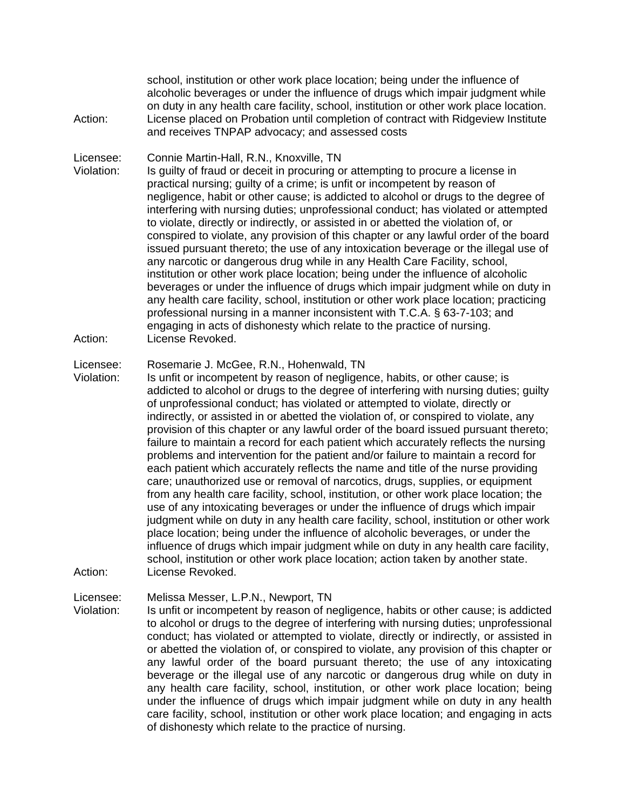school, institution or other work place location; being under the influence of alcoholic beverages or under the influence of drugs which impair judgment while on duty in any health care facility, school, institution or other work place location. Action: License placed on Probation until completion of contract with Ridgeview Institute and receives TNPAP advocacy; and assessed costs

Licensee: Connie Martin-Hall, R.N., Knoxville, TN

Violation: Is guilty of fraud or deceit in procuring or attempting to procure a license in practical nursing; guilty of a crime; is unfit or incompetent by reason of negligence, habit or other cause; is addicted to alcohol or drugs to the degree of interfering with nursing duties; unprofessional conduct; has violated or attempted to violate, directly or indirectly, or assisted in or abetted the violation of, or conspired to violate, any provision of this chapter or any lawful order of the board issued pursuant thereto; the use of any intoxication beverage or the illegal use of any narcotic or dangerous drug while in any Health Care Facility, school, institution or other work place location; being under the influence of alcoholic beverages or under the influence of drugs which impair judgment while on duty in any health care facility, school, institution or other work place location; practicing professional nursing in a manner inconsistent with T.C.A. § 63-7-103; and engaging in acts of dishonesty which relate to the practice of nursing. Action: License Revoked.

Licensee: Rosemarie J. McGee, R.N., Hohenwald, TN

Violation: Is unfit or incompetent by reason of negligence, habits, or other cause; is addicted to alcohol or drugs to the degree of interfering with nursing duties; guilty of unprofessional conduct; has violated or attempted to violate, directly or indirectly, or assisted in or abetted the violation of, or conspired to violate, any provision of this chapter or any lawful order of the board issued pursuant thereto; failure to maintain a record for each patient which accurately reflects the nursing problems and intervention for the patient and/or failure to maintain a record for each patient which accurately reflects the name and title of the nurse providing care; unauthorized use or removal of narcotics, drugs, supplies, or equipment from any health care facility, school, institution, or other work place location; the use of any intoxicating beverages or under the influence of drugs which impair judgment while on duty in any health care facility, school, institution or other work place location; being under the influence of alcoholic beverages, or under the influence of drugs which impair judgment while on duty in any health care facility, school, institution or other work place location; action taken by another state. Action: License Revoked.

Licensee: Melissa Messer, L.P.N., Newport, TN

Violation: Is unfit or incompetent by reason of negligence, habits or other cause; is addicted to alcohol or drugs to the degree of interfering with nursing duties; unprofessional conduct; has violated or attempted to violate, directly or indirectly, or assisted in or abetted the violation of, or conspired to violate, any provision of this chapter or any lawful order of the board pursuant thereto; the use of any intoxicating beverage or the illegal use of any narcotic or dangerous drug while on duty in any health care facility, school, institution, or other work place location; being under the influence of drugs which impair judgment while on duty in any health care facility, school, institution or other work place location; and engaging in acts of dishonesty which relate to the practice of nursing.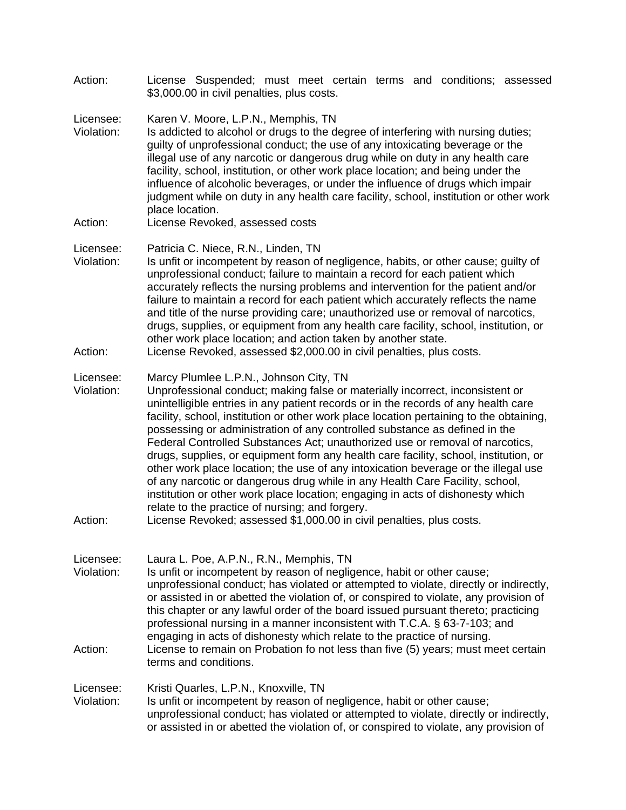Action: License Suspended; must meet certain terms and conditions; assessed \$3,000.00 in civil penalties, plus costs.

Licensee: Karen V. Moore, L.P.N., Memphis, TN

- Violation: Is addicted to alcohol or drugs to the degree of interfering with nursing duties; guilty of unprofessional conduct; the use of any intoxicating beverage or the illegal use of any narcotic or dangerous drug while on duty in any health care facility, school, institution, or other work place location; and being under the influence of alcoholic beverages, or under the influence of drugs which impair judgment while on duty in any health care facility, school, institution or other work place location.
- Action: License Revoked, assessed costs

#### Licensee: Patricia C. Niece, R.N., Linden, TN

- Violation: Is unfit or incompetent by reason of negligence, habits, or other cause; guilty of unprofessional conduct; failure to maintain a record for each patient which accurately reflects the nursing problems and intervention for the patient and/or failure to maintain a record for each patient which accurately reflects the name and title of the nurse providing care; unauthorized use or removal of narcotics, drugs, supplies, or equipment from any health care facility, school, institution, or other work place location; and action taken by another state.
- Action: License Revoked, assessed \$2,000.00 in civil penalties, plus costs.

### Licensee: Marcy Plumlee L.P.N., Johnson City, TN

Violation: Unprofessional conduct; making false or materially incorrect, inconsistent or unintelligible entries in any patient records or in the records of any health care facility, school, institution or other work place location pertaining to the obtaining, possessing or administration of any controlled substance as defined in the Federal Controlled Substances Act; unauthorized use or removal of narcotics, drugs, supplies, or equipment form any health care facility, school, institution, or other work place location; the use of any intoxication beverage or the illegal use of any narcotic or dangerous drug while in any Health Care Facility, school, institution or other work place location; engaging in acts of dishonesty which relate to the practice of nursing; and forgery.

#### Action: License Revoked; assessed \$1,000.00 in civil penalties, plus costs.

Licensee: Laura L. Poe, A.P.N., R.N., Memphis, TN Violation: Is unfit or incompetent by reason of negligence, habit or other cause; unprofessional conduct; has violated or attempted to violate, directly or indirectly, or assisted in or abetted the violation of, or conspired to violate, any provision of this chapter or any lawful order of the board issued pursuant thereto; practicing professional nursing in a manner inconsistent with T.C.A. § 63-7-103; and engaging in acts of dishonesty which relate to the practice of nursing. Action: License to remain on Probation fo not less than five (5) years; must meet certain terms and conditions. Licensee: Kristi Quarles, L.P.N., Knoxville, TN

Violation: Is unfit or incompetent by reason of negligence, habit or other cause; unprofessional conduct; has violated or attempted to violate, directly or indirectly, or assisted in or abetted the violation of, or conspired to violate, any provision of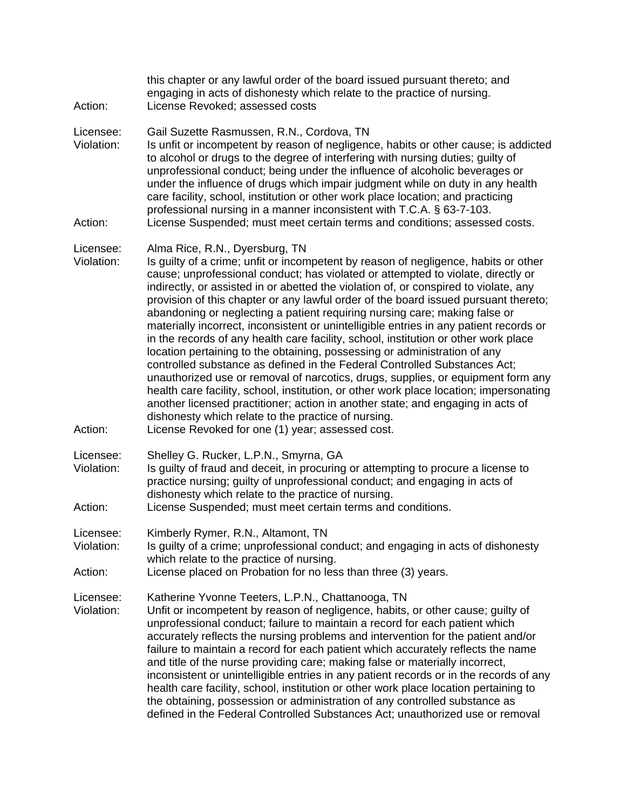| Action:                            | this chapter or any lawful order of the board issued pursuant thereto; and<br>engaging in acts of dishonesty which relate to the practice of nursing.<br>License Revoked; assessed costs                                                                                                                                                                                                                                                                                                                                                                                                                                                                                                                                                                                                                                                                                                                                                                                                                                                                                                                                                  |
|------------------------------------|-------------------------------------------------------------------------------------------------------------------------------------------------------------------------------------------------------------------------------------------------------------------------------------------------------------------------------------------------------------------------------------------------------------------------------------------------------------------------------------------------------------------------------------------------------------------------------------------------------------------------------------------------------------------------------------------------------------------------------------------------------------------------------------------------------------------------------------------------------------------------------------------------------------------------------------------------------------------------------------------------------------------------------------------------------------------------------------------------------------------------------------------|
| Licensee:<br>Violation:<br>Action: | Gail Suzette Rasmussen, R.N., Cordova, TN<br>Is unfit or incompetent by reason of negligence, habits or other cause; is addicted<br>to alcohol or drugs to the degree of interfering with nursing duties; guilty of<br>unprofessional conduct; being under the influence of alcoholic beverages or<br>under the influence of drugs which impair judgment while on duty in any health<br>care facility, school, institution or other work place location; and practicing<br>professional nursing in a manner inconsistent with T.C.A. § 63-7-103.<br>License Suspended; must meet certain terms and conditions; assessed costs.                                                                                                                                                                                                                                                                                                                                                                                                                                                                                                            |
| Licensee:<br>Violation:            | Alma Rice, R.N., Dyersburg, TN<br>Is guilty of a crime; unfit or incompetent by reason of negligence, habits or other<br>cause; unprofessional conduct; has violated or attempted to violate, directly or<br>indirectly, or assisted in or abetted the violation of, or conspired to violate, any<br>provision of this chapter or any lawful order of the board issued pursuant thereto;<br>abandoning or neglecting a patient requiring nursing care; making false or<br>materially incorrect, inconsistent or unintelligible entries in any patient records or<br>in the records of any health care facility, school, institution or other work place<br>location pertaining to the obtaining, possessing or administration of any<br>controlled substance as defined in the Federal Controlled Substances Act;<br>unauthorized use or removal of narcotics, drugs, supplies, or equipment form any<br>health care facility, school, institution, or other work place location; impersonating<br>another licensed practitioner; action in another state; and engaging in acts of<br>dishonesty which relate to the practice of nursing. |
| Action:                            | License Revoked for one (1) year; assessed cost.                                                                                                                                                                                                                                                                                                                                                                                                                                                                                                                                                                                                                                                                                                                                                                                                                                                                                                                                                                                                                                                                                          |
| Licensee:<br>Violation:<br>Action: | Shelley G. Rucker, L.P.N., Smyrna, GA<br>Is guilty of fraud and deceit, in procuring or attempting to procure a license to<br>practice nursing; guilty of unprofessional conduct; and engaging in acts of<br>dishonesty which relate to the practice of nursing.<br>License Suspended; must meet certain terms and conditions.                                                                                                                                                                                                                                                                                                                                                                                                                                                                                                                                                                                                                                                                                                                                                                                                            |
| Licensee:<br>Violation:            | Kimberly Rymer, R.N., Altamont, TN<br>Is guilty of a crime; unprofessional conduct; and engaging in acts of dishonesty<br>which relate to the practice of nursing.                                                                                                                                                                                                                                                                                                                                                                                                                                                                                                                                                                                                                                                                                                                                                                                                                                                                                                                                                                        |
| Action:                            | License placed on Probation for no less than three (3) years.                                                                                                                                                                                                                                                                                                                                                                                                                                                                                                                                                                                                                                                                                                                                                                                                                                                                                                                                                                                                                                                                             |
| Licensee:<br>Violation:            | Katherine Yvonne Teeters, L.P.N., Chattanooga, TN<br>Unfit or incompetent by reason of negligence, habits, or other cause; guilty of<br>unprofessional conduct; failure to maintain a record for each patient which<br>accurately reflects the nursing problems and intervention for the patient and/or<br>failure to maintain a record for each patient which accurately reflects the name<br>and title of the nurse providing care; making false or materially incorrect,<br>inconsistent or unintelligible entries in any patient records or in the records of any<br>health care facility, school, institution or other work place location pertaining to<br>the obtaining, possession or administration of any controlled substance as<br>defined in the Federal Controlled Substances Act; unauthorized use or removal                                                                                                                                                                                                                                                                                                              |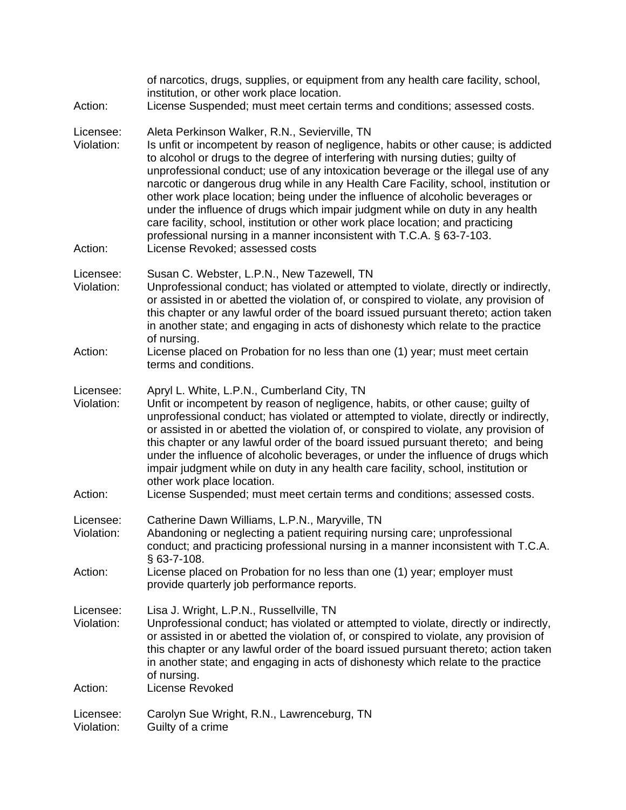| of narcotics, drugs, supplies, or equipment from any health care facility, school,<br>institution, or other work place location.<br>License Suspended; must meet certain terms and conditions; assessed costs.                                                                                                                                                                                                                                                                                                                                                                                                                                                                                                                                                           |
|--------------------------------------------------------------------------------------------------------------------------------------------------------------------------------------------------------------------------------------------------------------------------------------------------------------------------------------------------------------------------------------------------------------------------------------------------------------------------------------------------------------------------------------------------------------------------------------------------------------------------------------------------------------------------------------------------------------------------------------------------------------------------|
| Aleta Perkinson Walker, R.N., Sevierville, TN<br>Is unfit or incompetent by reason of negligence, habits or other cause; is addicted<br>to alcohol or drugs to the degree of interfering with nursing duties; guilty of<br>unprofessional conduct; use of any intoxication beverage or the illegal use of any<br>narcotic or dangerous drug while in any Health Care Facility, school, institution or<br>other work place location; being under the influence of alcoholic beverages or<br>under the influence of drugs which impair judgment while on duty in any health<br>care facility, school, institution or other work place location; and practicing<br>professional nursing in a manner inconsistent with T.C.A. § 63-7-103.<br>License Revoked; assessed costs |
| Susan C. Webster, L.P.N., New Tazewell, TN<br>Unprofessional conduct; has violated or attempted to violate, directly or indirectly,<br>or assisted in or abetted the violation of, or conspired to violate, any provision of<br>this chapter or any lawful order of the board issued pursuant thereto; action taken<br>in another state; and engaging in acts of dishonesty which relate to the practice<br>of nursing.                                                                                                                                                                                                                                                                                                                                                  |
| License placed on Probation for no less than one (1) year; must meet certain<br>terms and conditions.                                                                                                                                                                                                                                                                                                                                                                                                                                                                                                                                                                                                                                                                    |
| Apryl L. White, L.P.N., Cumberland City, TN<br>Unfit or incompetent by reason of negligence, habits, or other cause; guilty of<br>unprofessional conduct; has violated or attempted to violate, directly or indirectly,<br>or assisted in or abetted the violation of, or conspired to violate, any provision of<br>this chapter or any lawful order of the board issued pursuant thereto; and being<br>under the influence of alcoholic beverages, or under the influence of drugs which<br>impair judgment while on duty in any health care facility, school, institution or<br>other work place location.<br>License Suspended; must meet certain terms and conditions; assessed costs.                                                                               |
| Catherine Dawn Williams, L.P.N., Maryville, TN<br>Abandoning or neglecting a patient requiring nursing care; unprofessional<br>conduct; and practicing professional nursing in a manner inconsistent with T.C.A.<br>$§$ 63-7-108.                                                                                                                                                                                                                                                                                                                                                                                                                                                                                                                                        |
| License placed on Probation for no less than one (1) year; employer must<br>provide quarterly job performance reports.                                                                                                                                                                                                                                                                                                                                                                                                                                                                                                                                                                                                                                                   |
| Lisa J. Wright, L.P.N., Russellville, TN<br>Unprofessional conduct; has violated or attempted to violate, directly or indirectly,<br>or assisted in or abetted the violation of, or conspired to violate, any provision of<br>this chapter or any lawful order of the board issued pursuant thereto; action taken<br>in another state; and engaging in acts of dishonesty which relate to the practice<br>of nursing.<br>License Revoked                                                                                                                                                                                                                                                                                                                                 |
| Carolyn Sue Wright, R.N., Lawrenceburg, TN<br>Guilty of a crime                                                                                                                                                                                                                                                                                                                                                                                                                                                                                                                                                                                                                                                                                                          |
|                                                                                                                                                                                                                                                                                                                                                                                                                                                                                                                                                                                                                                                                                                                                                                          |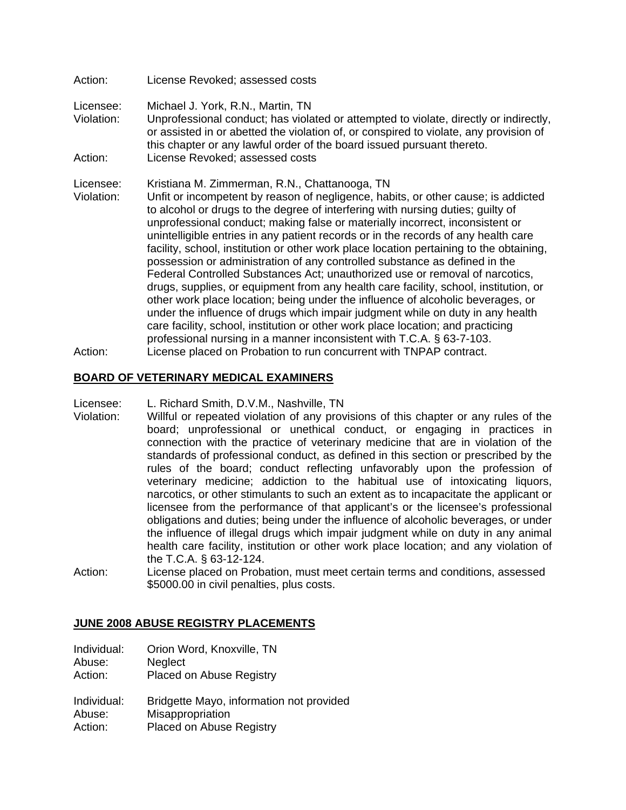# Licensee: Michael J. York, R.N., Martin, TN Violation: Unprofessional conduct; has violated or attempted to violate, directly or indirectly, or assisted in or abetted the violation of, or conspired to violate, any provision of this chapter or any lawful order of the board issued pursuant thereto. Action: License Revoked; assessed costs

Licensee: Kristiana M. Zimmerman, R.N., Chattanooga, TN

Action: License Revoked; assessed costs

- Violation: Unfit or incompetent by reason of negligence, habits, or other cause; is addicted to alcohol or drugs to the degree of interfering with nursing duties; guilty of unprofessional conduct; making false or materially incorrect, inconsistent or unintelligible entries in any patient records or in the records of any health care facility, school, institution or other work place location pertaining to the obtaining, possession or administration of any controlled substance as defined in the Federal Controlled Substances Act; unauthorized use or removal of narcotics, drugs, supplies, or equipment from any health care facility, school, institution, or other work place location; being under the influence of alcoholic beverages, or under the influence of drugs which impair judgment while on duty in any health care facility, school, institution or other work place location; and practicing professional nursing in a manner inconsistent with T.C.A. § 63-7-103.
- Action: License placed on Probation to run concurrent with TNPAP contract.

# **BOARD OF VETERINARY MEDICAL EXAMINERS**

Licensee: L. Richard Smith, D.V.M., Nashville, TN

- Violation: Willful or repeated violation of any provisions of this chapter or any rules of the board; unprofessional or unethical conduct, or engaging in practices in connection with the practice of veterinary medicine that are in violation of the standards of professional conduct, as defined in this section or prescribed by the rules of the board; conduct reflecting unfavorably upon the profession of veterinary medicine; addiction to the habitual use of intoxicating liquors, narcotics, or other stimulants to such an extent as to incapacitate the applicant or licensee from the performance of that applicant's or the licensee's professional obligations and duties; being under the influence of alcoholic beverages, or under the influence of illegal drugs which impair judgment while on duty in any animal health care facility, institution or other work place location; and any violation of the T.C.A. § 63-12-124.
- Action: License placed on Probation, must meet certain terms and conditions, assessed \$5000.00 in civil penalties, plus costs.

#### **JUNE 2008 ABUSE REGISTRY PLACEMENTS**

- Individual: Orion Word, Knoxville, TN
- Abuse: Neglect
- Action: Placed on Abuse Registry
- Individual: Bridgette Mayo, information not provided Abuse: Misappropriation
- Action: Placed on Abuse Registry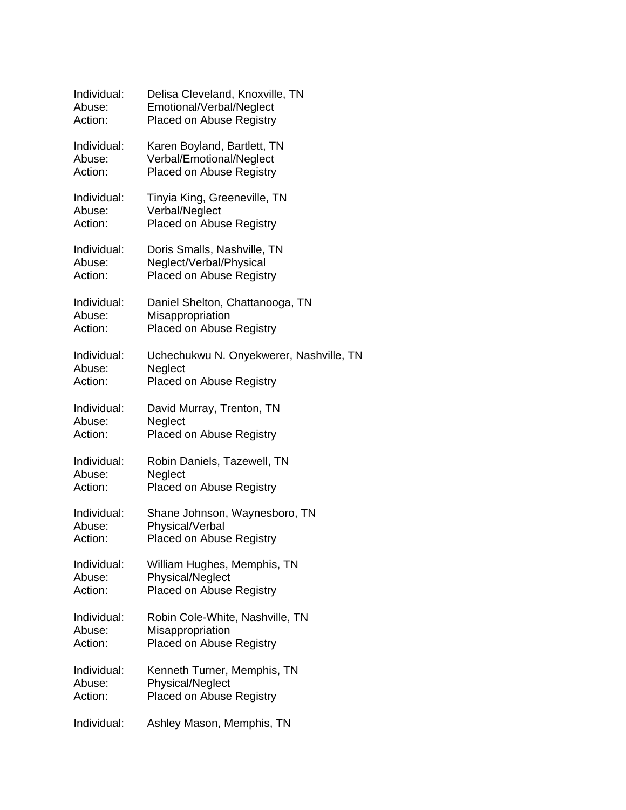| Individual: | Delisa Cleveland, Knoxville, TN         |
|-------------|-----------------------------------------|
| Abuse:      | Emotional/Verbal/Neglect                |
| Action:     | Placed on Abuse Registry                |
| Individual: | Karen Boyland, Bartlett, TN             |
| Abuse:      | Verbal/Emotional/Neglect                |
| Action:     | Placed on Abuse Registry                |
| Individual: | Tinyia King, Greeneville, TN            |
| Abuse:      | Verbal/Neglect                          |
| Action:     | <b>Placed on Abuse Registry</b>         |
| Individual: | Doris Smalls, Nashville, TN             |
| Abuse:      | Neglect/Verbal/Physical                 |
| Action:     | Placed on Abuse Registry                |
| Individual: | Daniel Shelton, Chattanooga, TN         |
| Abuse:      | Misappropriation                        |
| Action:     | <b>Placed on Abuse Registry</b>         |
| Individual: | Uchechukwu N. Onyekwerer, Nashville, TN |
| Abuse:      | Neglect                                 |
| Action:     | <b>Placed on Abuse Registry</b>         |
| Individual: | David Murray, Trenton, TN               |
| Abuse:      | Neglect                                 |
| Action:     | <b>Placed on Abuse Registry</b>         |
| Individual: | Robin Daniels, Tazewell, TN             |
| Abuse:      | Neglect                                 |
| Action:     | <b>Placed on Abuse Registry</b>         |
| Individual: | Shane Johnson, Waynesboro, TN           |
| Abuse:      | Physical/Verbal                         |
| Action:     | <b>Placed on Abuse Registry</b>         |
| Individual: | William Hughes, Memphis, TN             |
| Abuse:      | <b>Physical/Neglect</b>                 |
| Action:     | <b>Placed on Abuse Registry</b>         |
| Individual: | Robin Cole-White, Nashville, TN         |
| Abuse:      | Misappropriation                        |
| Action:     | <b>Placed on Abuse Registry</b>         |
| Individual: | Kenneth Turner, Memphis, TN             |
| Abuse:      | Physical/Neglect                        |
| Action:     | <b>Placed on Abuse Registry</b>         |
| Individual: | Ashley Mason, Memphis, TN               |